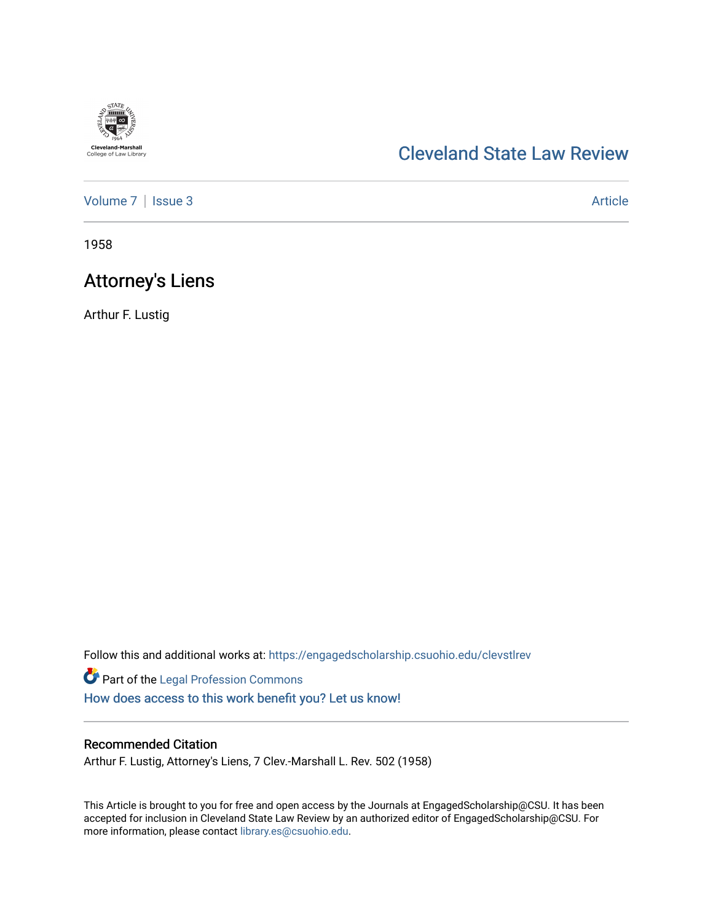# **Cleveland-Marshall**<br>College of Law Library

## [Cleveland State Law Review](https://engagedscholarship.csuohio.edu/clevstlrev)

[Volume 7](https://engagedscholarship.csuohio.edu/clevstlrev/vol7) | [Issue 3](https://engagedscholarship.csuohio.edu/clevstlrev/vol7/iss3) Article

1958

## **Attorney's Liens**

Arthur F. Lustig

Follow this and additional works at: [https://engagedscholarship.csuohio.edu/clevstlrev](https://engagedscholarship.csuohio.edu/clevstlrev?utm_source=engagedscholarship.csuohio.edu%2Fclevstlrev%2Fvol7%2Fiss3%2F14&utm_medium=PDF&utm_campaign=PDFCoverPages)

Part of the [Legal Profession Commons](http://network.bepress.com/hgg/discipline/1075?utm_source=engagedscholarship.csuohio.edu%2Fclevstlrev%2Fvol7%2Fiss3%2F14&utm_medium=PDF&utm_campaign=PDFCoverPages) [How does access to this work benefit you? Let us know!](http://library.csuohio.edu/engaged/)

#### Recommended Citation

Arthur F. Lustig, Attorney's Liens, 7 Clev.-Marshall L. Rev. 502 (1958)

This Article is brought to you for free and open access by the Journals at EngagedScholarship@CSU. It has been accepted for inclusion in Cleveland State Law Review by an authorized editor of EngagedScholarship@CSU. For more information, please contact [library.es@csuohio.edu](mailto:library.es@csuohio.edu).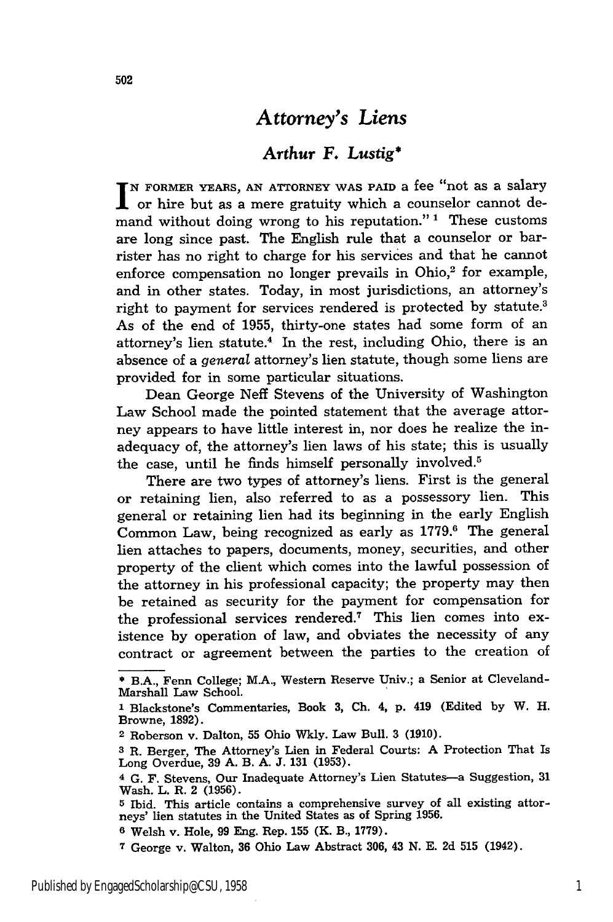### *Attorney's Liens*

#### *Arthur F. Lustig\**

**N FORMER YEARS, AN ATTORNEY WAS PAID** a fee "not as a salary or hire but as a mere gratuity which a counselor cannot demand without doing wrong to his reputation."<sup>1</sup> These customs are long since past. The English rule that a counselor or barrister has no right to charge for his services and that he cannot enforce compensation no longer prevails in Ohio, $2$  for example, and in other states. Today, in most jurisdictions, an attorney's right to payment for services rendered is protected by statute.<sup>3</sup> As of the end of 1955, thirty-one states had some form of an attorney's lien statute.4 In the rest, including Ohio, there is an absence of a *general* attorney's lien statute, though some liens are provided for in some particular situations.

Dean George Neff Stevens of the University of Washington Law School made the pointed statement that the average attorney appears to have little interest in, nor does he realize the inadequacy of, the attorney's lien laws of his state; this is usually the case, until he finds himself personally involved.<sup>5</sup>

There are two types of attorney's liens. First is the general or retaining lien, also referred to as a possessory lien. This general or retaining lien had its beginning in the early English Common Law, being recognized as early as 1779.6 The general lien attaches to papers, documents, money, securities, and other property of the client which comes into the lawful possession of the attorney in his professional capacity; the property may then be retained as security for the payment for compensation for the professional services rendered.7 This lien comes into existence by operation of law, and obviates the necessity of any contract or agreement between the parties to the creation of

**<sup>\*</sup>** B.A., Fenn College; M.A., Western Reserve Univ.; a Senior at Cleveland-Marshall Law School.

**<sup>1</sup>** Blackstone's Commentaries, Book **3,** Ch. 4, p. 419 (Edited by W. H. Browne, 1892).

<sup>2</sup> Roberson v. Dalton, 55 Ohio Wkly. Law Bull. 3 (1910).

**<sup>3</sup>** R. Berger, The Attorney's Lien in Federal Courts: A Protection That Is Long Overdue, 39 A. B. A. J. 131 (1953).

**<sup>4</sup>** G. F. Stevens, Our Inadequate Attorney's Lien Statutes-a Suggestion, **31** Wash. L. R. 2 (1956).

**<sup>5</sup>** Ibid. This article contains a comprehensive survey of all existing attorneys' lien statutes in the United States as of Spring 1956.

**<sup>6</sup>** Welsh v. Hole, 99 Eng. Rep. 155 (K. B., 1779).

**<sup>7</sup>** George v. Walton, **36** Ohio Law Abstract 306, 43 N. E. 2d **515** (1942).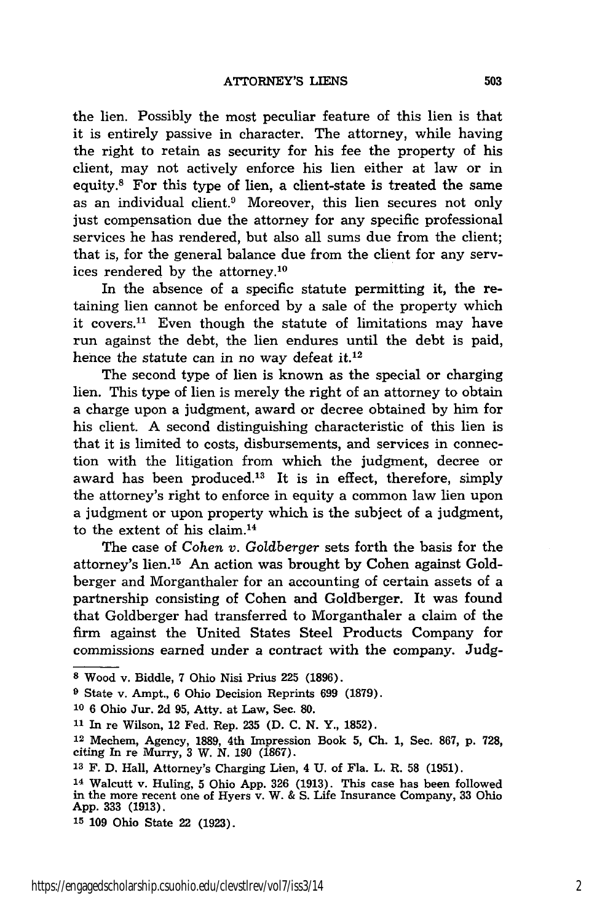the lien. Possibly the most peculiar feature of this lien is that it is entirely passive in character. The attorney, while having the right to retain as security for his fee the property of his client, may not actively enforce his lien either at law or in equity.8 For this type of lien, a client-state is treated the same as an individual client.<sup>9</sup> Moreover, this lien secures not only just compensation due the attorney for any specific professional services he has rendered, but also all sums due from the client; that is, for the general balance due from the client for any services rendered by the attorney.'0

In the absence of a specific statute permitting it, the retaining lien cannot be enforced by a sale of the property which it covers.<sup>11</sup> Even though the statute of limitations may have run against the debt, the lien endures until the debt is paid, hence the statute can in no way defeat it.<sup>12</sup>

The second type of lien is known as the special or charging lien. This type of lien is merely the right of an attorney to obtain a charge upon a judgment, award or decree obtained by him for his client. A second distinguishing characteristic of this lien is that it is limited to costs, disbursements, and services in connection with the litigation from which the judgment, decree or award has been produced.<sup>13</sup> It is in effect, therefore, simply the attorney's right to enforce in equity a common law lien upon a judgment or upon property which is the subject of a judgment, to the extent of his claim.<sup>14</sup>

The case of *Cohen v. Goldberger* sets forth the basis for the attorney's lien.15 An action was brought by Cohen against Goldberger and Morganthaler for an accounting of certain assets of a partnership consisting of Cohen and Goldberger. It was found that Goldberger had transferred to Morganthaler a claim of the firm against the United States Steel Products Company for commissions earned under a contract with the company. Judg-

**<sup>8</sup>** Wood v. Biddle, 7 Ohio Nisi Prius 225 (1896).

**<sup>9</sup>** State v. Ampt., 6 Ohio Decision Reprints 699 (1879).

**<sup>10</sup>**6 Ohio Jur. 2d **95,** Atty. at Law, Sec. **80.**

**<sup>11</sup>**In re Wilson, 12 Fed. Rep. 235 (D. C. N. Y., 1852).

**<sup>12</sup>**Mechem, Agency, **1889,** 4th Impression Book **5, Ch.** 1, Sec. 867, p. **728,** citing In re Murry, **3** W. *N. 190* **(1867).**

**<sup>13</sup>**F. D. Hall, Attorney's Charging Lien, 4 U. of Fla. L. R. **58** (1951).

**<sup>14</sup>**Walcutt v. Huling, **5** Ohio App. **326** (1913). This case has been followed in the more recent one of Hyers v. W. & S. Life Insurance Company, **33** Ohio App. **333** (1913).

**<sup>15 109</sup>** Ohio State 22 **(1923).**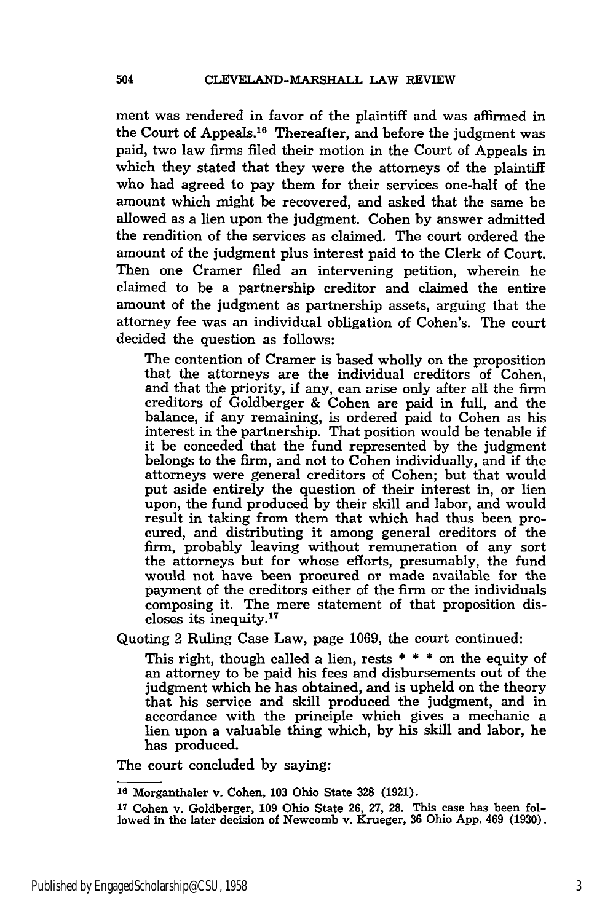ment was rendered in favor of the plaintiff and was affirmed in the Court of Appeals.<sup>16</sup> Thereafter, and before the judgment was paid, two law firms filed their motion in the Court of Appeals in which they stated that they were the attorneys of the plaintiff who had agreed to pay them for their services one-half of the amount which might be recovered, and asked that the same be allowed as a lien upon the judgment. Cohen by answer admitted the rendition of the services as claimed. The court ordered the amount of the judgment plus interest paid to the Clerk of Court. Then one Cramer filed an intervening petition, wherein he claimed to be a partnership creditor and claimed the entire amount of the judgment as partnership assets, arguing that the attorney fee was an individual obligation of Cohen's. The court decided the question as follows:

The contention of Cramer is based wholly on the proposition that the attorneys are the individual creditors of Cohen, and that the priority, if any, can arise only after all the firm creditors of Goldberger & Cohen are paid in full, and the balance, if any remaining, is ordered paid to Cohen as his interest in the partnership. That position would be tenable if it be conceded that the fund represented by the judgment belongs to the firm, and not to Cohen individually, and if the attorneys were general creditors of Cohen; but that would put aside entirely the question of their interest in, or lien upon, the fund produced by their skill and labor, and would result in taking from them that which had thus been procured, and distributing it among general creditors of the firm, probably leaving without remuneration of any sort the attorneys but for whose efforts, presumably, the fund would not have been procured or made available for the payment of the creditors either of the firm or the individuals composing it. The mere statement of that proposition discloses its inequity.17

Quoting 2 Ruling Case Law, page 1069, the court continued:

This right, though called a lien, rests  $* * *$  on the equity of an attorney to be paid his fees and disbursements out of the judgment which he has obtained, and is upheld on the theory that his service and skill produced the judgment, and in accordance with the principle which gives a mechanic a lien upon a valuable thing which, by his skill and labor, he has produced.

The court concluded by saying:

**<sup>10</sup>**Morganthaler v. Cohen, **103** Ohio State **328 (1921).**

**<sup>17</sup>** Cohen v. Goldberger, **109** Ohio State **26, 27, 28.** This case has been followed in the later decision of Newcomb v. Krueger, **36** Ohio App. 469 (1930).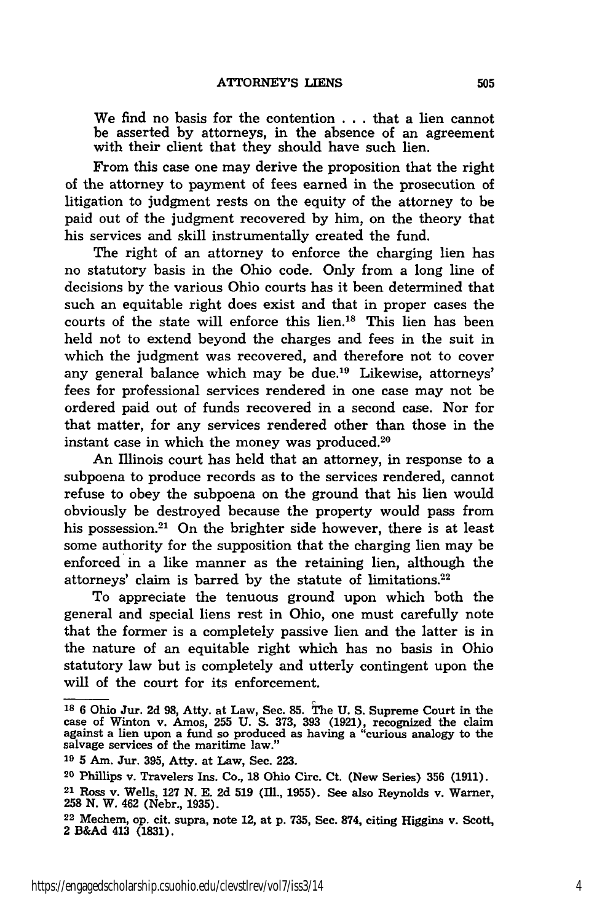We find no basis for the contention **.** . **.** that a lien cannot be asserted **by** attorneys, in the absence of an agreement with their client that they should have such lien.

From this case one may derive the proposition that the right of the attorney to payment of fees earned in the prosecution of litigation to judgment rests on the equity of the attorney to be paid out of the judgment recovered by him, on the theory that his services and skill instrumentally created the fund.

The right of an attorney to enforce the charging lien has no statutory basis in the Ohio code. Only from a long line of decisions by the various Ohio courts has it been determined that such an equitable right does exist and that in proper cases the courts of the state will enforce this lien.'8 This lien has been held not to extend beyond the charges and fees in the suit in which the judgment was recovered, and therefore not to cover any general balance which may be due.<sup>19</sup> Likewise, attorneys' fees for professional services rendered in one case may not be ordered paid out of funds recovered in a second case. Nor for that matter, for any services rendered other than those in the instant case in which the money was produced. $20$ 

An Illinois court has held that an attorney, in response to a subpoena to produce records as to the services rendered, cannot refuse to obey the subpoena on the ground that his lien would obviously be destroyed because the property would pass from his possession.<sup>21</sup> On the brighter side however, there is at least some authority for the supposition that the charging lien may be enforced in a like manner as the retaining lien, although the attorneys' claim is barred by the statute of limitations. $22$ 

To appreciate the tenuous ground upon which both the general and special liens rest in Ohio, one must carefully note that the former is a completely passive lien and the latter is in the nature of an equitable right which has no basis in Ohio statutory law but is completely and utterly contingent upon the will of the court for its enforcement.

**<sup>18 6</sup>** Ohio Jur. **2d 98,** Atty. at Law, Sec. **85.** The **U. S.** Supreme Court in the case of Winton v. Amos, **255 U. S. 373, 393 (1921),** recognized the claim against a lien upon a fund so produced as having a "curious analogy to the salvage services of the maritime law.'

**<sup>19 5</sup>** Am. Jur. **395,** Atty. at Law, Sec. **223.**

**<sup>20</sup>**Phillips v. Travelers Ins. Co., **18** Ohio Circ. Ct. (New Series) **356 (1911).**

**<sup>21</sup>**Ross v. Wells, **127 N. E. 2d 519** (IM., **1955).** See also Reynolds v. Warner, **258 N.** W. 462 (Nebr., **1935).**

**<sup>22</sup>**Mechem, op. cit. supra, note 12, at **p. 735,** Sec. **874,** citing Higgins v. Scott, 2 **B&Ad** 413 **(1831).**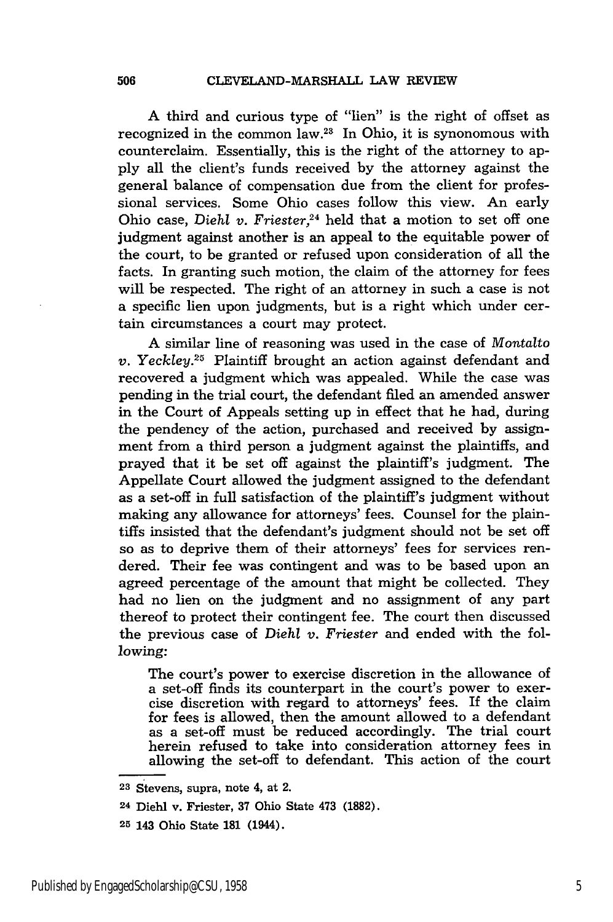A third and curious type of "lien" is the right of offset as recognized in the common law. $23$  In Ohio, it is synonomous with counterclaim. Essentially, this is the right of the attorney to apply all the client's funds received by the attorney against the general balance of compensation due from the client for professional services. Some Ohio cases follow this view. An early Ohio case, *Diehl v. Friester*,<sup>24</sup> held that a motion to set off one judgment against another is an appeal to the equitable power of the court, to be granted or refused upon consideration of all the facts. In granting such motion, the claim of the attorney for fees will be respected. The right of an attorney in such a case is not a specific lien upon judgments, but is a right which under certain circumstances a court may protect.

A similar line of reasoning was used in the case of *Montalto v. Yeckley.*<sup>25</sup> Plaintiff brought an action against defendant and recovered a judgment which was appealed. While the case was pending in the trial court, the defendant filed an amended answer in the Court of Appeals setting up in effect that he had, during the pendency of the action, purchased and received by assignment from a third person a judgment against the plaintiffs, and prayed that it be set off against the plaintiff's judgment. The Appellate Court allowed the judgment assigned to the defendant as a set-off in full satisfaction of the plaintiff's judgment without making any allowance for attorneys' fees. Counsel for the plaintiffs insisted that the defendant's judgment should not be set off so as to deprive them of their attorneys' fees for services rendered. Their fee was contingent and was to be based upon an agreed percentage of the amount that might be collected. They had no lien on the judgment and no assignment of any part thereof to protect their contingent fee. The court then discussed the previous case of *Diehl v. Friester* and ended with the following:

The court's power to exercise discretion in the allowance of a set-off finds its counterpart in the court's power to exercise discretion with regard to attorneys' fees. If the claim for fees is allowed, then the amount allowed to a defendant as a set-off must be reduced accordingly. The trial court herein refused to take into consideration attorney fees in allowing the set-off to defendant. This action of the court

**<sup>23</sup>** Stevens, supra, note 4, at 2.

**<sup>24</sup>** Diehl v. Friester, **37** Ohio State 473 **(1882).**

**<sup>25</sup>** 143 Ohio State **181** (1944).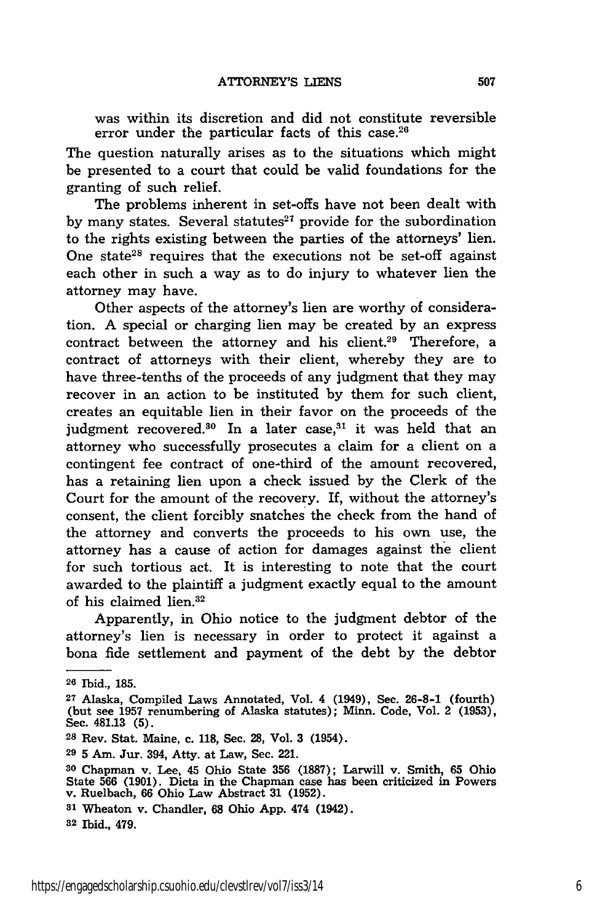was within its discretion and did not constitute reversible error under the particular facts of this case.<sup>26</sup>

The question naturally arises as to the situations which might be presented to a court that could be valid foundations for the granting of such relief.

The problems inherent in set-offs have not been dealt with by many states. Several statutes $27$  provide for the subordination to the rights existing between the parties of the attorneys' lien. One state<sup>28</sup> requires that the executions not be set-off against each other in such a way as to do injury to whatever lien the attorney may have.

Other aspects of the attorney's lien are worthy of consideration. A special or charging lien may be created by an express contract between the attorney and his client.<sup>29</sup> Therefore, a contract of attorneys with their client, whereby they are to have three-tenths of the proceeds of any judgment that they may recover in an action to be instituted by them for such client, creates an equitable lien in their favor on the proceeds of the judgment recovered.<sup>30</sup> In a later case, $31$  it was held that an attorney who successfully prosecutes a claim for a client on a contingent fee contract of one-third of the amount recovered, has a retaining lien upon a check issued by the Clerk of the Court for the amount of the recovery. If, without the attorney's consent, the client forcibly snatches the check from the hand of the attorney and converts the proceeds to his own use, the attorney has a cause of action for damages against the client for such tortious act. It is interesting to note that the court awarded to the plaintiff a judgment exactly equal to the amount of his claimed lien.<sup>32</sup>

Apparently, in Ohio notice to the judgment debtor of the attorney's lien is necessary in order to protect it against a bona fide settlement and payment of the debt by the debtor

**<sup>28</sup>**Rev. Stat. Maine, c. **118,** Sec. **28,** Vol. **3** (1954).

**81** Wheaton v. Chandler, **68** Ohio **App.** 474 (1942).

**<sup>26</sup>** Ibid., **185.**

**<sup>27</sup>**Alaska, Compiled Laws Annotated, Vol. 4 (1949), Sec. **26-8-1** (fourth) (but see **1957** renumbering of Alaska statutes); Minn. Code, Vol. 2 **(1953),** Sec. 481.13 **(5).**

**<sup>29</sup>**5 Am. Jur. 394, Atty. at Law, Sec. 221.

**<sup>30</sup>**Chapman v. Lee, 45 Ohio State **356 (1887);** Larwill v. Smith, **65** Ohio State **566 (1901).** Dicta in the Chapman case has been criticized in Powers v. Ruelbach, **66** Ohio Law Abstract **31 (1952).**

**<sup>32</sup>** Ibid., 479.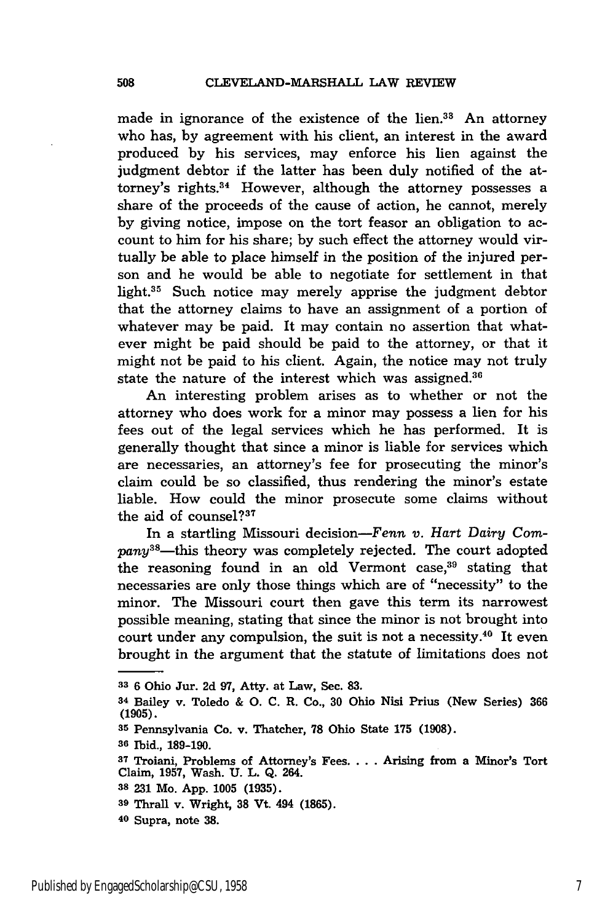made in ignorance of the existence of the lien.<sup>33</sup> An attorney who has, **by** agreement with his client, an interest in the award produced **by** his services, may enforce his lien against the judgment debtor if the latter has been duly notified of the attorney's rights.<sup>34</sup> However, although the attorney possesses a share of the proceeds of the cause of action, he cannot, merely by giving notice, impose on the tort feasor an obligation to account to him for his share; by such effect the attorney would virtually be able to place himself in the position of the injured person and he would be able to negotiate for settlement in that light.35 Such notice may merely apprise the judgment debtor that the attorney claims to have an assignment of a portion of whatever may be paid. It may contain no assertion that whatever might be paid should be paid to the attorney, or that it might not be paid to his client. Again, the notice may not truly state the nature of the interest which was assigned.<sup>36</sup>

An interesting problem arises as to whether or not the attorney who does work for a minor may possess a lien for his fees out of the legal services which he has performed. It is generally thought that since a minor is liable for services which are necessaries, an attorney's fee for prosecuting the minor's claim could be so classified, thus rendering the minor's estate liable. How could the minor prosecute some claims without the aid of counsel? $37$ 

In a startling Missouri decision-Fenn *v. Hart Dairy Com* $pany^{38}$ —this theory was completely rejected. The court adopted the reasoning found in an old Vermont case, $39$  stating that necessaries are only those things which are of "necessity" to the minor. The Missouri court then gave this term its narrowest possible meaning, stating that since the minor is not brought into court under any compulsion, the suit is not a necessity.<sup>40</sup> It even brought in the argument that the statute of limitations does not

**<sup>33</sup><sup>6</sup>**Ohio Jur. 2d **97,** Atty. at Law, Sec. **83.**

**<sup>34</sup>**Bailey v. Toledo & **0. C.** R. Co., **30** Ohio Nisi Prius (New Series) **366 (1905).**

**<sup>35</sup>** Pennsylvania Co. v. Thatcher, **78** Ohio State **175 (1908).**

**<sup>36</sup>** Ibid., **189-190.**

**<sup>37</sup>**Troiani, Problems of Attorney's Fees **....** Arising from a Minor's Tort Claim, **1957,** Wash. **U.** L. **Q.** 264.

**<sup>38 231</sup>** Mo. **App. 1005 (1935).**

**<sup>39</sup>** Thrall v. Wright, **38** Vt. 494 **(1865).**

**<sup>40</sup>** Supra, note **38.**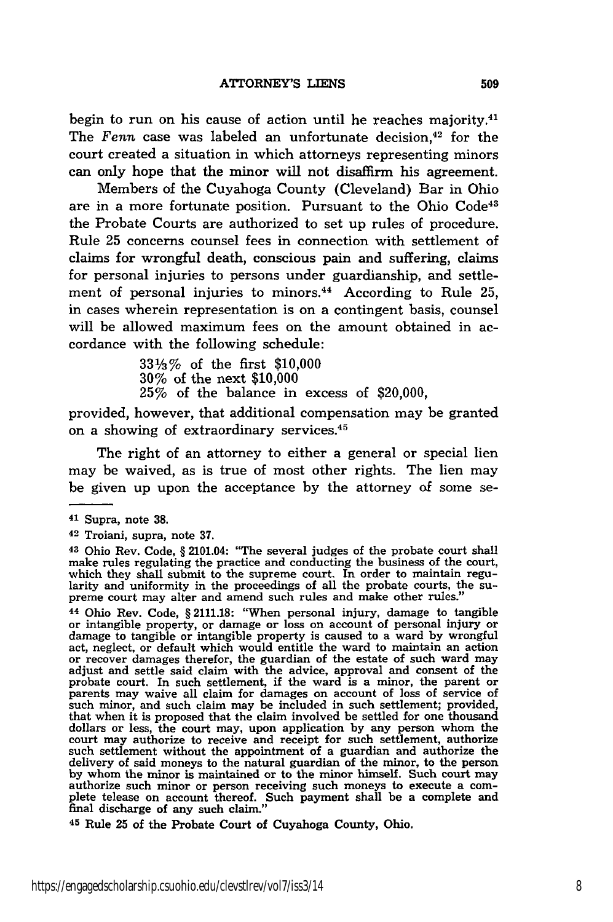begin to run on his cause of action until he reaches majority.<sup>41</sup> The Fenn case was labeled an unfortunate decision,<sup>42</sup> for the court created a situation in which attorneys representing minors can only hope that the minor will not disaffirm his agreement.

Members of the Cuyahoga County (Cleveland) Bar in Ohio are in a more fortunate position. Pursuant to the Ohio Code<sup>41</sup> the Probate Courts are authorized to set up rules of procedure. Rule 25 concerns counsel fees in connection with settlement of claims for wrongful death, conscious pain and suffering, claims for personal injuries to persons under guardianship, and settlement of personal injuries to minors.<sup>44</sup> According to Rule 25, in cases wherein representation is on a contingent basis, counsel will be allowed maximum fees on the amount obtained in accordance with the following schedule:

> 331/3% of the first \$10,000 30% of the next \$10,000 25% of the balance in excess of \$20,000,

provided, however, that additional compensation may be granted on a showing of extraordinary services.<sup>45</sup>

The right of an attorney to either a general or special lien may be waived, as is true of most other rights. The lien may be given up upon the acceptance by the attorney of some se-

44 Ohio Rev. Code, § 2111.18: "When personal injury, damage to tangible or intangible property, or damage or loss on account of personal injury or damage to tangible or intangible property is caused to a ward by wrongful act, neglect, or default which would entitle the ward to maintain an action or recover damages therefor, the guardian of the estate of such ward may adjust and settle said claim with the advice, approval and consent of the probate court. In such settlement, if the ward is a minor, the parent or parents may waive all claim for damages on account of loss of service of such minor, and such claim may be included in such settlement; provided that when it is proposed that the claim involved be settled for one thousand dollars or less, the court may, upon application by any person whom the court may authorize to receive and receipt for such settlement, authorize such settlement without the appointment of a guardian and authorize the delivery of said moneys to the natural guardian of the minor, to the person by whom the minor is maintained or to the minor himself. Such court may authorize such minor or person receiving such moneys to execute a com-<br>plete telease on account thereof. Such payment shall be a complete and final discharge of any such claim."

**<sup>45</sup>**Rule **25** of the Probate Court of Cuyahoga County, Ohio.

<sup>41</sup> Supra, note 38.

<sup>42</sup> Troiani, supra, note 37.

**<sup>43</sup>**Ohio Rev. Code, § 2101.04: "The several judges of the probate court shall make rules regulating the practice and conducting the business of the court, which they shall submit to the supreme court. In order to maintain regu-<br>larity and uniformity in the proceedings of all the probate courts, the su-<br>preme court may alter and amend such rules and make other rules."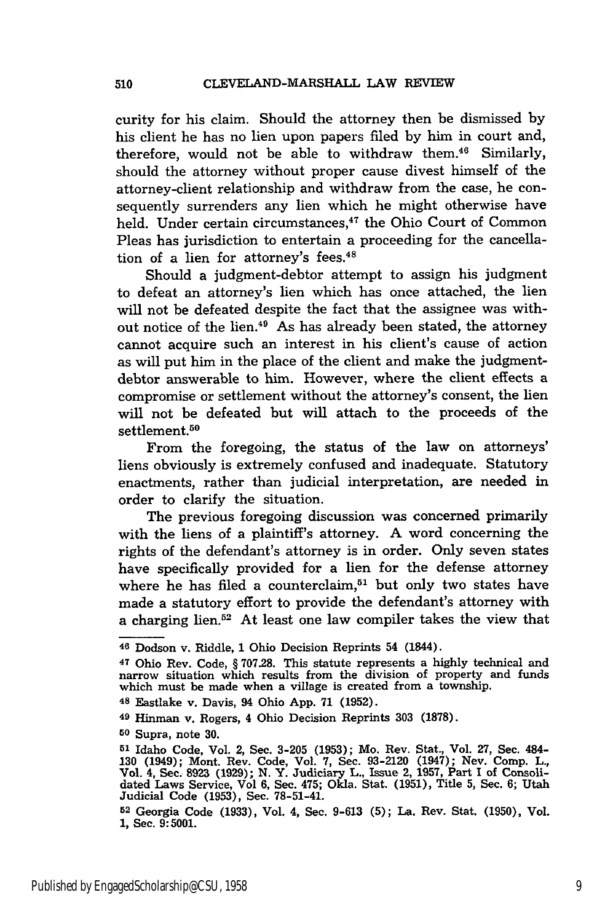curity for his claim. Should the attorney then be dismissed by his client he has no lien upon papers filed by him in court and, therefore, would not be able to withdraw them.<sup>46</sup> Similarly, should the attorney without proper cause divest himself of the attorney-client relationship and withdraw from the case, he consequently surrenders any lien which he might otherwise have held. Under certain circumstances,<sup>47</sup> the Ohio Court of Common Pleas has jurisdiction to entertain a proceeding for the cancellation of a lien for attorney's fees.<sup>48</sup>

Should a judgment-debtor attempt to assign his judgment to defeat an attorney's lien which has once attached, the lien will not be defeated despite the fact that the assignee was without notice of the lien.<sup>49</sup> As has already been stated, the attorney cannot acquire such an interest in his client's cause of action as will put him in the place of the client and make the judgmentdebtor answerable to him. However, where the client effects a compromise or settlement without the attorney's consent, the lien will not be defeated but will attach to the proceeds of the settlement.<sup>50</sup>

From the foregoing, the status of the law on attorneys' liens obviously is extremely confused and inadequate. Statutory enactments, rather than judicial interpretation, are needed in order to clarify the situation.

The previous foregoing discussion was concerned primarily with the liens of a plaintiff's attorney. A word concerning the rights of the defendant's attorney is in order. Only seven states have specifically provided for a lien for the defense attorney where he has filed a counterclaim,<sup>51</sup> but only two states have made a statutory effort to provide the defendant's attorney with a charging lien. $52$  At least one law compiler takes the view that

**<sup>46</sup>**Dodson v. Riddle, 1 Ohio Decision Reprints 54 (1844).

<sup>&</sup>lt;sup>47</sup> Ohio Rev. Code, § 707.28. This statute represents a highly technical and marrow situation which results from the division of property and funds which must be made when a village is created from a township.

**<sup>48</sup>**Eastlake v. Davis, 94 Ohio App. 71 (1952).

**<sup>49</sup>**Hinman v. Rogers, 4 Ohio Decision Reprints 303 (1878).

**<sup>50</sup>** Supra, note 30.

**<sup>51</sup>**Idaho Code, Vol. 2, Sec. 3-205 (1953); Mo. Rev. Stat., Vol. 27, Sec. 484- 130 (1949); Mont. Rev. Code, Vol. 7, Sec. 93-2120 (1947); Nev. Comp. L., Vol. 4, Sec. **8923 (1929); N.** Y. Judiciary L., Issue 2, **1957,** Part I of Consolidated Laws Service, Vol **6,** Sec. 475; Okla. Stat. **(1951),** Title 5, Sec. 6; Utah Judicial Code (1953), Sec. 78-51-41.

**<sup>52</sup>**Georgia Code (1933), Vol. 4, Sec. 9-613 (5); La. Rev. Stat. (1950), Vol. **1,** Sec. **9:5001.**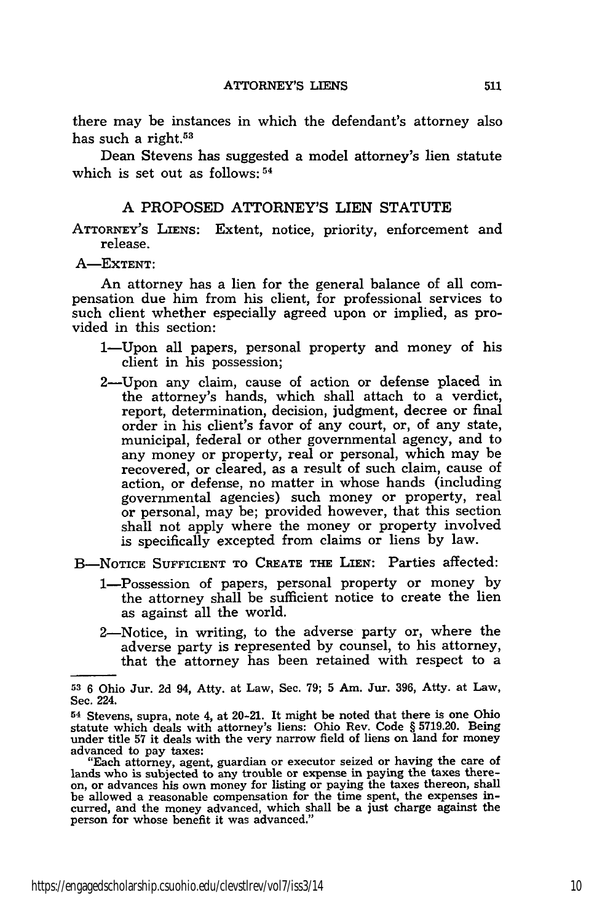there may be instances in which the defendant's attorney also has such a right.<sup>53</sup>

Dean Stevens has suggested a model attorney's lien statute which is set out as follows: 54

#### A PROPOSED ATTORNEY'S LIEN STATUTE

**ATTORNEY'S LIENS:** Extent, notice, priority, enforcement and release.

**A-EXTENT:**

An attorney has a lien for the general balance of all compensation due him from his client, for professional services to such client whether especially agreed upon or implied, as provided in this section:

- 1—Upon all papers, personal property and money of his client in his possession;
- 2-Upon any claim, cause of action or defense placed in the attorney's hands, which shall attach to a verdict, report, determination, decision, judgment, decree or final order in his client's favor of any court, or, of any state, municipal, federal or other governmental agency, and to any money or property, real or personal, which may be recovered, or cleared, as a result of such claim, cause of action, or defense, no matter in whose hands (including governmental agencies) such money or property, real or personal, may be; provided however, that this section shall not apply where the money or property involved is specifically excepted from claims or liens by law.

**B-NOTICE SUFFICIENT TO CREATE THE LIEN:** Parties affected:

- 1-Possession of papers, personal property or money by the attorney shall be sufficient notice to create the lien as against all the world.
- 2-Notice, in writing, to the adverse party or, where the adverse party is represented by counsel, to his attorney, that the attorney has been retained with respect to a

**<sup>53 6</sup>** Ohio Jur. 2d 94, Atty. at Law, Sec. 79; **5** Am. Jur. **396,** Atty. at Law, Sec. 224.

**<sup>54</sup>**Stevens, supra, note 4, at 20-21. It might be noted that there is one Ohio statute which deals with attorney's liens: Ohio Rev. Code § 5719.20. Being under title 57 it deals with the very narrow field of liens on land for money advanced to pay taxes:

<sup>&</sup>quot;Each attorney, agent, guardian or executor seized or having the care of lands who is subjected to any trouble or expense in paying the taxes thereon, or advances his own money for listing or paying the taxes thereon, shall be allowed a reasonable compensation for the time spent, the expenses incurred, and the money advanced, which shall be a just charge against the person for whose benefit it was advanced."